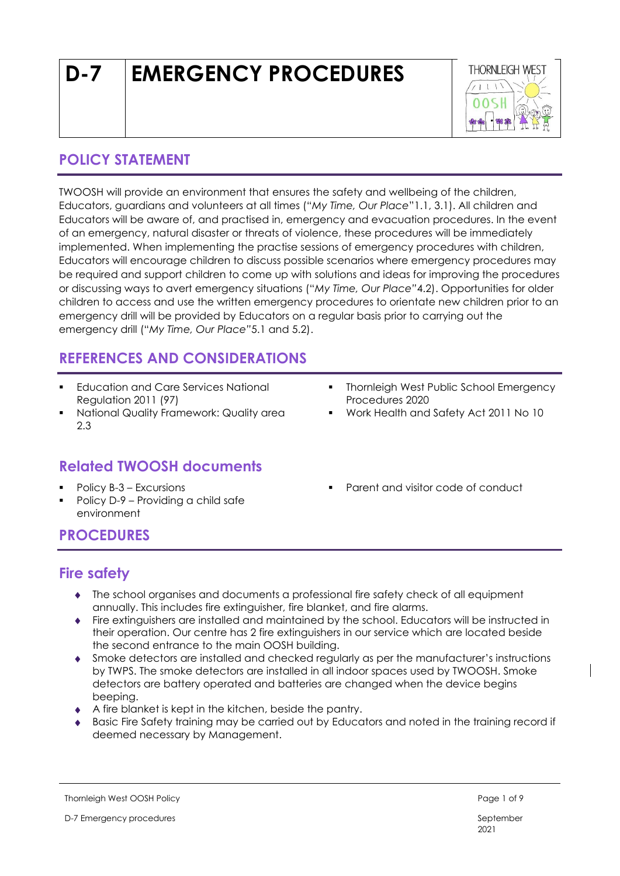# **D-7 EMERGENCY PROCEDURES**



### **POLICY STATEMENT**

TWOOSH will provide an environment that ensures the safety and wellbeing of the children, Educators, guardians and volunteers at all times ("*My Time, Our Place*"1.1, 3.1). All children and Educators will be aware of, and practised in, emergency and evacuation procedures. In the event of an emergency, natural disaster or threats of violence, these procedures will be immediately implemented. When implementing the practise sessions of emergency procedures with children, Educators will encourage children to discuss possible scenarios where emergency procedures may be required and support children to come up with solutions and ideas for improving the procedures or discussing ways to avert emergency situations ("*My Time, Our Place"*4.2). Opportunities for older children to access and use the written emergency procedures to orientate new children prior to an emergency drill will be provided by Educators on a regular basis prior to carrying out the emergency drill ("*My Time, Our Place"*5.1 and 5.2).

### **REFERENCES AND CONSIDERATIONS**

- **Education and Care Services National** Regulation 2011 (97)
- National Quality Framework: Quality area 2.3

### **Related TWOOSH documents**

- Policy B-3 Excursions
- Policy D-9 Providing a child safe environment
- **Thornleigh West Public School Emergency** Procedures 2020
- Work Health and Safety Act 2011 No 10
- Parent and visitor code of conduct

### **PROCEDURES**

### **Fire safety**

- The school organises and documents a professional fire safety check of all equipment annually. This includes fire extinguisher, fire blanket, and fire alarms.
- Fire extinguishers are installed and maintained by the school. Educators will be instructed in their operation. Our centre has 2 fire extinguishers in our service which are located beside the second entrance to the main OOSH building.
- Smoke detectors are installed and checked regularly as per the manufacturer's instructions by TWPS. The smoke detectors are installed in all indoor spaces used by TWOOSH. Smoke detectors are battery operated and batteries are changed when the device begins beeping.
- A fire blanket is kept in the kitchen, beside the pantry.
- Basic Fire Safety training may be carried out by Educators and noted in the training record if deemed necessary by Management.

Thornleigh West OOSH Policy **Page 1 of 9** and 2 of 9 and 2 of 9 and 2 of 9 and 2 of 9 and 2 of 9 and 2 of 9 and 2 of 9 and 2 of 9 and 2 of 9 and 2 of 9 and 2 of 9 and 2 of 9 and 2 of 9 and 2 of 9 and 2 of 9 and 2 of 9 and

D-7 Emergency procedures September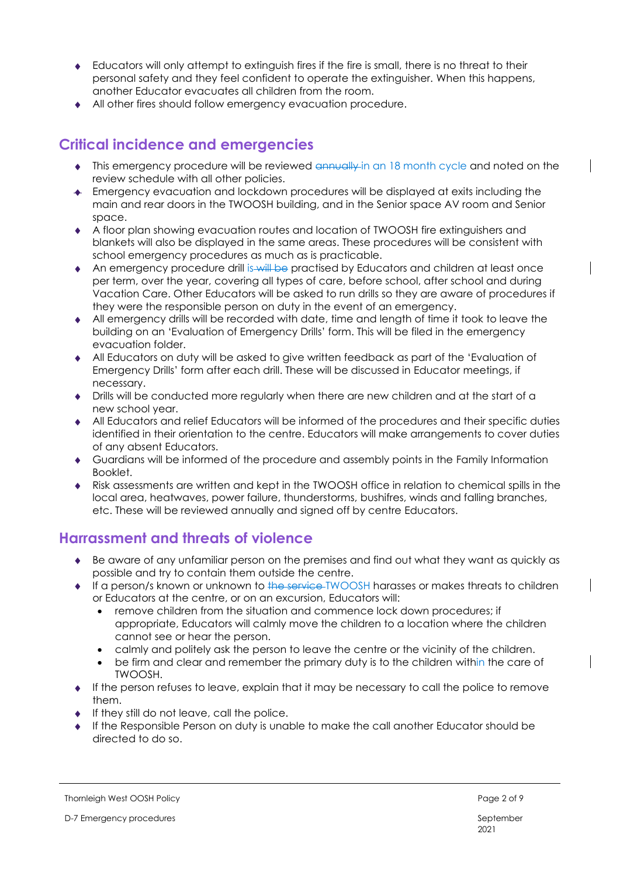- Educators will only attempt to extinguish fires if the fire is small, there is no threat to their personal safety and they feel confident to operate the extinguisher. When this happens, another Educator evacuates all children from the room.
- All other fires should follow emergency evacuation procedure.

### **Critical incidence and emergencies**

- This emergency procedure will be reviewed annually in an 18 month cycle and noted on the review schedule with all other policies.
- Emergency evacuation and lockdown procedures will be displayed at exits including the main and rear doors in the TWOOSH building, and in the Senior space AV room and Senior space.
- A floor plan showing evacuation routes and location of TWOOSH fire extinguishers and blankets will also be displayed in the same areas. These procedures will be consistent with school emergency procedures as much as is practicable.
- An emergency procedure drill is will be practised by Educators and children at least once per term, over the year, covering all types of care, before school, after school and during Vacation Care. Other Educators will be asked to run drills so they are aware of procedures if they were the responsible person on duty in the event of an emergency.
- All emergency drills will be recorded with date, time and length of time it took to leave the building on an 'Evaluation of Emergency Drills' form. This will be filed in the emergency evacuation folder.
- All Educators on duty will be asked to give written feedback as part of the 'Evaluation of Emergency Drills' form after each drill. These will be discussed in Educator meetings, if necessary.
- Drills will be conducted more regularly when there are new children and at the start of a new school year.
- All Educators and relief Educators will be informed of the procedures and their specific duties identified in their orientation to the centre. Educators will make arrangements to cover duties of any absent Educators.
- Guardians will be informed of the procedure and assembly points in the Family Information Booklet.
- Risk assessments are written and kept in the TWOOSH office in relation to chemical spills in the local area, heatwaves, power failure, thunderstorms, bushifres, winds and falling branches, etc. These will be reviewed annually and signed off by centre Educators.

### **Harrassment and threats of violence**

- Be aware of any unfamiliar person on the premises and find out what they want as quickly as possible and try to contain them outside the centre.
- If a person/s known or unknown to the service-TWOOSH harasses or makes threats to children or Educators at the centre, or on an excursion, Educators will:
	- remove children from the situation and commence lock down procedures; if appropriate, Educators will calmly move the children to a location where the children cannot see or hear the person.
	- calmly and politely ask the person to leave the centre or the vicinity of the children.
	- be firm and clear and remember the primary duty is to the children within the care of TWOOSH.
- $\bullet$  If the person refuses to leave, explain that it may be necessary to call the police to remove them.
- If they still do not leave, call the police.
- If the Responsible Person on duty is unable to make the call another Educator should be directed to do so.

#### Thornleigh West OOSH Policy **Page 2 of 9** and 2 of 9 and 2 of 9 and 2 of 9 and 2 of 9 and 2 of 9 and 2 of 9 and 2 of 9 and 2 of 9 and 2 of 9 and 2 of 9 and 2 of 9 and 2 of 9 and 2 of 9 and 2 of 9 and 2 of 9 and 2 of 9 and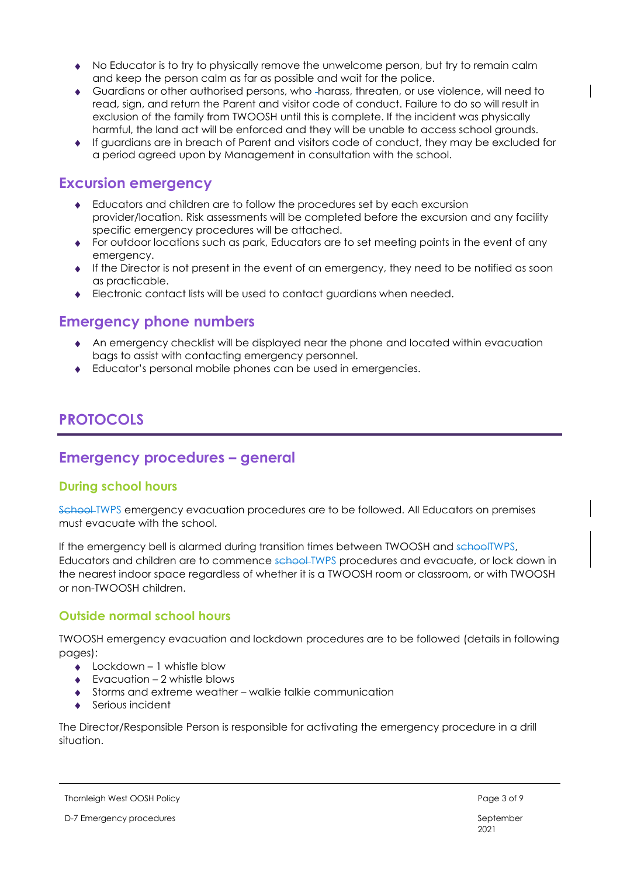- No Educator is to try to physically remove the unwelcome person, but try to remain calm and keep the person calm as far as possible and wait for the police.
- Guardians or other authorised persons, who harass, threaten, or use violence, will need to read, sign, and return the Parent and visitor code of conduct. Failure to do so will result in exclusion of the family from TWOOSH until this is complete. If the incident was physically harmful, the land act will be enforced and they will be unable to access school grounds.
- If guardians are in breach of Parent and visitors code of conduct, they may be excluded for a period agreed upon by Management in consultation with the school.

### **Excursion emergency**

- Educators and children are to follow the procedures set by each excursion provider/location. Risk assessments will be completed before the excursion and any facility specific emergency procedures will be attached.
- For outdoor locations such as park, Educators are to set meeting points in the event of any emergency.
- $\bullet$  If the Director is not present in the event of an emergency, they need to be notified as soon as practicable.
- Electronic contact lists will be used to contact guardians when needed.

### **Emergency phone numbers**

- An emergency checklist will be displayed near the phone and located within evacuation bags to assist with contacting emergency personnel.
- Educator's personal mobile phones can be used in emergencies.

### **PROTOCOLS**

### **Emergency procedures – general**

#### **During school hours**

School TWPS emergency evacuation procedures are to be followed. All Educators on premises must evacuate with the school.

If the emergency bell is alarmed during transition times between TWOOSH and schoolTWPS, Educators and children are to commence school-TWPS procedures and evacuate, or lock down in the nearest indoor space regardless of whether it is a TWOOSH room or classroom, or with TWOOSH or non-TWOOSH children.

### **Outside normal school hours**

TWOOSH emergency evacuation and lockdown procedures are to be followed (details in following pages):

- $\triangle$  Lockdown 1 whistle blow
- $\leftarrow$  Evacuation 2 whistle blows
- Storms and extreme weather walkie talkie communication
- Serious incident

The Director/Responsible Person is responsible for activating the emergency procedure in a drill situation.

#### Thornleigh West OOSH Policy **Page 3 of 9** and 2 of 9 and 2 of 9 and 2 of 9 and 2 of 9 and 2 of 9 and 2 of 9 and 2 of 9 and 2 of 9 and 2 of 9 and 2 of 9 and 2 of 9 and 2 of 9 and 2 of 9 and 2 of 9 and 2 of 9 and 2 of 9 and

D-7 Emergency procedures September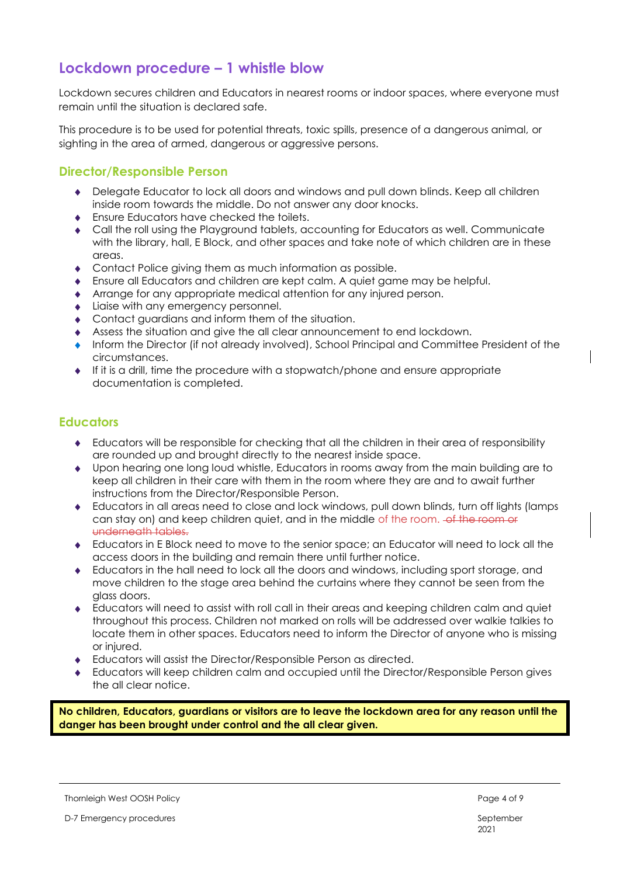### **Lockdown procedure – 1 whistle blow**

Lockdown secures children and Educators in nearest rooms or indoor spaces, where everyone must remain until the situation is declared safe.

This procedure is to be used for potential threats, toxic spills, presence of a dangerous animal, or sighting in the area of armed, dangerous or aggressive persons.

#### **Director/Responsible Person**

- Delegate Educator to lock all doors and windows and pull down blinds. Keep all children inside room towards the middle. Do not answer any door knocks.
- ◆ Ensure Educators have checked the toilets.
- Call the roll using the Playground tablets, accounting for Educators as well. Communicate with the library, hall, E Block, and other spaces and take note of which children are in these areas.
- Contact Police giving them as much information as possible.
- Ensure all Educators and children are kept calm. A quiet game may be helpful.
- Arrange for any appropriate medical attention for any injured person.
- Liaise with any emergency personnel.
- Contact guardians and inform them of the situation.
- Assess the situation and give the all clear announcement to end lockdown.
- Inform the Director (if not already involved), School Principal and Committee President of the circumstances.
- $\bullet$  If it is a drill, time the procedure with a stopwatch/phone and ensure appropriate documentation is completed.

#### **Educators**

- Educators will be responsible for checking that all the children in their area of responsibility are rounded up and brought directly to the nearest inside space.
- Upon hearing one long loud whistle, Educators in rooms away from the main building are to keep all children in their care with them in the room where they are and to await further instructions from the Director/Responsible Person.
- Educators in all areas need to close and lock windows, pull down blinds, turn off lights (lamps can stay on) and keep children quiet, and in the middle of the room. <del>of the room or</del> underneath tables.
- Educators in E Block need to move to the senior space; an Educator will need to lock all the access doors in the building and remain there until further notice.
- Educators in the hall need to lock all the doors and windows, including sport storage, and move children to the stage area behind the curtains where they cannot be seen from the glass doors.
- Educators will need to assist with roll call in their areas and keeping children calm and quiet throughout this process. Children not marked on rolls will be addressed over walkie talkies to locate them in other spaces. Educators need to inform the Director of anyone who is missing or injured.
- Educators will assist the Director/Responsible Person as directed.
- Educators will keep children calm and occupied until the Director/Responsible Person gives the all clear notice.

**No children, Educators, guardians or visitors are to leave the lockdown area for any reason until the danger has been brought under control and the all clear given.**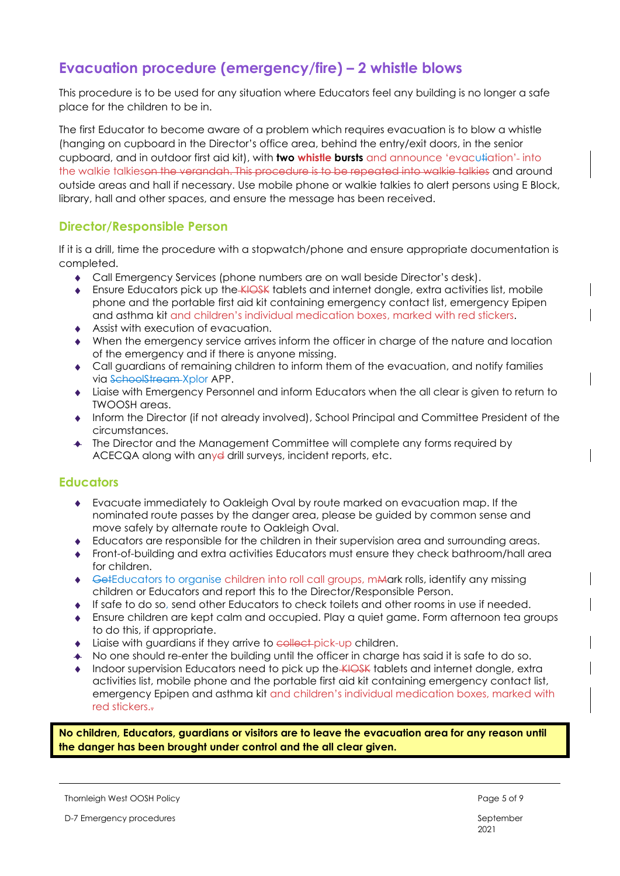### **Evacuation procedure (emergency/fire) – 2 whistle blows**

This procedure is to be used for any situation where Educators feel any building is no longer a safe place for the children to be in.

The first Educator to become aware of a problem which requires evacuation is to blow a whistle (hanging on cupboard in the Director's office area, behind the entry/exit doors, in the senior cupboard, and in outdoor first aid kit), with **two whistle bursts** and announce 'evacu#ation'-into the walkie talkieson the verandah. This procedure is to be repeated into walkie talkies and around outside areas and hall if necessary. Use mobile phone or walkie talkies to alert persons using E Block, library, hall and other spaces, and ensure the message has been received.

#### **Director/Responsible Person**

If it is a drill, time the procedure with a stopwatch/phone and ensure appropriate documentation is completed.

- Call Emergency Services (phone numbers are on wall beside Director's desk).
- **Ensure Educators pick up the KIOSK tablets and internet dongle, extra activities list, mobile** phone and the portable first aid kit containing emergency contact list, emergency Epipen and asthma kit and children's individual medication boxes, marked with red stickers.
- Assist with execution of evacuation.
- When the emergency service arrives inform the officer in charge of the nature and location of the emergency and if there is anyone missing.
- Call guardians of remaining children to inform them of the evacuation, and notify families via SchoolStream Xplor APP.
- Liaise with Emergency Personnel and inform Educators when the all clear is given to return to TWOOSH areas.
- Inform the Director (if not already involved), School Principal and Committee President of the circumstances.
- The Director and the Management Committee will complete any forms required by ACECQA along with anyd drill surveys, incident reports, etc.

#### **Educators**

- Evacuate immediately to Oakleigh Oval by route marked on evacuation map. If the nominated route passes by the danger area, please be guided by common sense and move safely by alternate route to Oakleigh Oval.
- Educators are responsible for the children in their supervision area and surrounding areas.
- Front-of-building and extra activities Educators must ensure they check bathroom/hall area for children.
- GetEducators to organise children into roll call groups, mMark rolls, identify any missing children or Educators and report this to the Director/Responsible Person.
- If safe to do so, send other Educators to check toilets and other rooms in use if needed.
- Ensure children are kept calm and occupied. Play a quiet game. Form afternoon tea groups to do this, if appropriate.
- ◆ Liaise with guardians if they arrive to collect-pick-up children.
- No one should re-enter the building until the officer in charge has said it is safe to do so.
- Indoor supervision Educators need to pick up the KIOSK tablets and internet donale, extra activities list, mobile phone and the portable first aid kit containing emergency contact list, emergency Epipen and asthma kit and children's individual medication boxes, marked with red stickers..

**No children, Educators, guardians or visitors are to leave the evacuation area for any reason until the danger has been brought under control and the all clear given.**

Thornleigh West OOSH Policy **Page 5 of 9** and 2008 Page 5 of 9

D-7 Emergency procedures and the state of the state of the September September

2021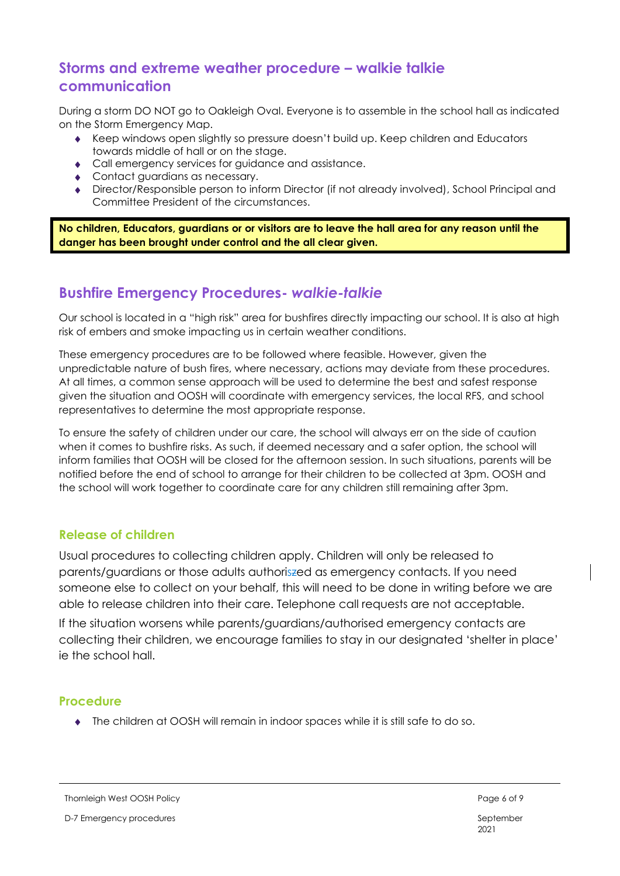### **Storms and extreme weather procedure – walkie talkie communication**

During a storm DO NOT go to Oakleigh Oval. Everyone is to assemble in the school hall as indicated on the Storm Emergency Map.

- Keep windows open slightly so pressure doesn't build up. Keep children and Educators towards middle of hall or on the stage.
- Call emergency services for guidance and assistance.
- Contact guardians as necessary.
- Director/Responsible person to inform Director (if not already involved), School Principal and Committee President of the circumstances.

**No children, Educators, guardians or or visitors are to leave the hall area for any reason until the danger has been brought under control and the all clear given.**

### **Bushfire Emergency Procedures-** *walkie-talkie*

Our school is located in a "high risk" area for bushfires directly impacting our school. It is also at high risk of embers and smoke impacting us in certain weather conditions.

These emergency procedures are to be followed where feasible. However, given the unpredictable nature of bush fires, where necessary, actions may deviate from these procedures. At all times, a common sense approach will be used to determine the best and safest response given the situation and OOSH will coordinate with emergency services, the local RFS, and school representatives to determine the most appropriate response.

To ensure the safety of children under our care, the school will always err on the side of caution when it comes to bushfire risks. As such, if deemed necessary and a safer option, the school will inform families that OOSH will be closed for the afternoon session. In such situations, parents will be notified before the end of school to arrange for their children to be collected at 3pm. OOSH and the school will work together to coordinate care for any children still remaining after 3pm.

#### **Release of children**

Usual procedures to collecting children apply. Children will only be released to parents/guardians or those adults authoriszed as emergency contacts. If you need someone else to collect on your behalf, this will need to be done in writing before we are able to release children into their care. Telephone call requests are not acceptable. If the situation worsens while parents/guardians/authorised emergency contacts are collecting their children, we encourage families to stay in our designated 'shelter in place' ie the school hall.

#### **Procedure**

The children at OOSH will remain in indoor spaces while it is still safe to do so.

Thornleigh West OOSH Policy **Page 6 of 9** and the state of 9 and the state of 9 and the state of 9 and the state of 9 and the state of 9 and the state of 9 and the state of 9 and the state of 9 and the state of 9 and the s

D-7 Emergency procedures September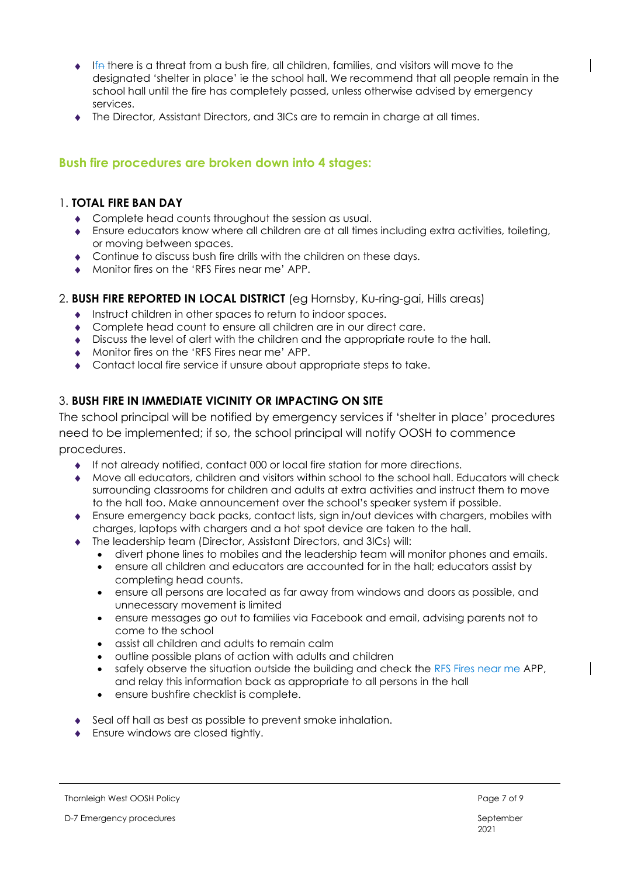- $\bullet$  Ifn there is a threat from a bush fire, all children, families, and visitors will move to the designated 'shelter in place' ie the school hall. We recommend that all people remain in the school hall until the fire has completely passed, unless otherwise advised by emergency services.
- The Director, Assistant Directors, and 3ICs are to remain in charge at all times.

#### **Bush fire procedures are broken down into 4 stages:**

#### 1. **TOTAL FIRE BAN DAY**

- Complete head counts throughout the session as usual.
- Ensure educators know where all children are at all times including extra activities, toileting, or moving between spaces.
- **Continue to discuss bush fire drills with the children on these days.**
- Monitor fires on the 'RFS Fires near me' APP.

#### 2. **BUSH FIRE REPORTED IN LOCAL DISTRICT** (eg Hornsby, Ku-ring-gai, Hills areas)

- Instruct children in other spaces to return to indoor spaces.
- Complete head count to ensure all children are in our direct care.
- Discuss the level of alert with the children and the appropriate route to the hall.
- Monitor fires on the 'RFS Fires near me' APP.
- Contact local fire service if unsure about appropriate steps to take.

#### 3. **BUSH FIRE IN IMMEDIATE VICINITY OR IMPACTING ON SITE**

The school principal will be notified by emergency services if 'shelter in place' procedures need to be implemented; if so, the school principal will notify OOSH to commence procedures.

- If not already notified, contact 000 or local fire station for more directions.
- Move all educators, children and visitors within school to the school hall. Educators will check surrounding classrooms for children and adults at extra activities and instruct them to move to the hall too. Make announcement over the school's speaker system if possible.
- Ensure emergency back packs, contact lists, sign in/out devices with chargers, mobiles with charges, laptops with chargers and a hot spot device are taken to the hall.
- The leadership team (Director, Assistant Directors, and 3ICs) will:
	- divert phone lines to mobiles and the leadership team will monitor phones and emails.
	- ensure all children and educators are accounted for in the hall; educators assist by completing head counts.
	- ensure all persons are located as far away from windows and doors as possible, and unnecessary movement is limited
	- ensure messages go out to families via Facebook and email, advising parents not to come to the school
	- assist all children and adults to remain calm
	- outline possible plans of action with adults and children
	- safely observe the situation outside the building and check the RFS Fires near me APP, and relay this information back as appropriate to all persons in the hall
	- ensure bushfire checklist is complete.
- Seal off hall as best as possible to prevent smoke inhalation.
- Ensure windows are closed tightly.

#### Thornleigh West OOSH Policy **Page 7 of 9** and 2008 Page 7 of 9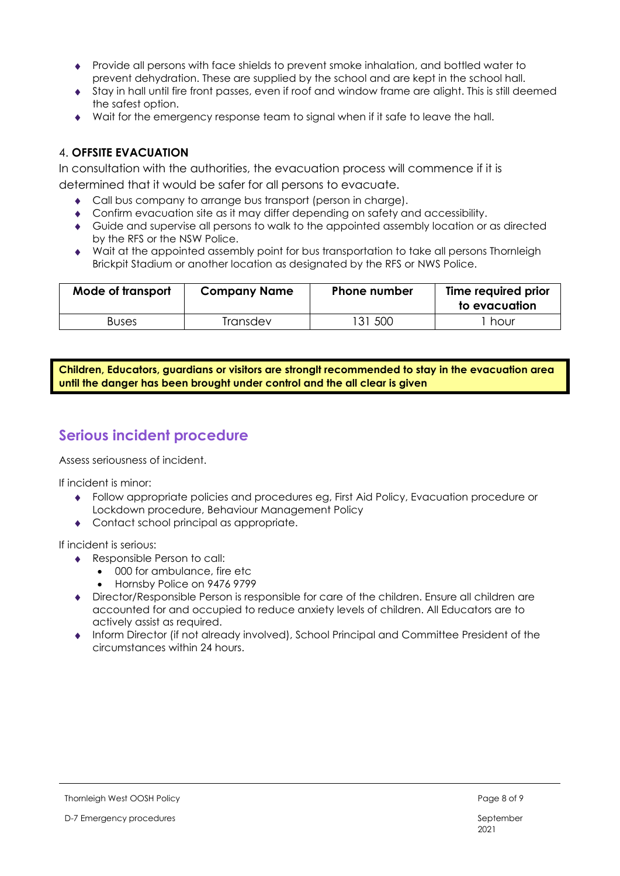- Provide all persons with face shields to prevent smoke inhalation, and bottled water to prevent dehydration. These are supplied by the school and are kept in the school hall.
- Stay in hall until fire front passes, even if roof and window frame are alight. This is still deemed the safest option.
- Wait for the emergency response team to signal when if it safe to leave the hall.

#### 4. **OFFSITE EVACUATION**

In consultation with the authorities, the evacuation process will commence if it is determined that it would be safer for all persons to evacuate.

- Call bus company to arrange bus transport (person in charge).
- Confirm evacuation site as it may differ depending on safety and accessibility.
- Guide and supervise all persons to walk to the appointed assembly location or as directed by the RFS or the NSW Police.
- Wait at the appointed assembly point for bus transportation to take all persons Thornleigh Brickpit Stadium or another location as designated by the RFS or NWS Police.

| Mode of transport | <b>Company Name</b> | <b>Phone number</b> | Time required prior<br>to evacuation |
|-------------------|---------------------|---------------------|--------------------------------------|
| <b>Buses</b>      | Transdev            | -500<br>131         | hour                                 |

**Children, Educators, guardians or visitors are stronglt recommended to stay in the evacuation area until the danger has been brought under control and the all clear is given**

### **Serious incident procedure**

Assess seriousness of incident.

If incident is minor:

- Follow appropriate policies and procedures eg, First Aid Policy, Evacuation procedure or Lockdown procedure, Behaviour Management Policy
- Contact school principal as appropriate.

If incident is serious:

- ◆ Responsible Person to call:
	- 000 for ambulance, fire etc
	- Hornsby Police on 9476 9799
- Director/Responsible Person is responsible for care of the children. Ensure all children are accounted for and occupied to reduce anxiety levels of children. All Educators are to actively assist as required.
- Inform Director (if not already involved), School Principal and Committee President of the circumstances within 24 hours.